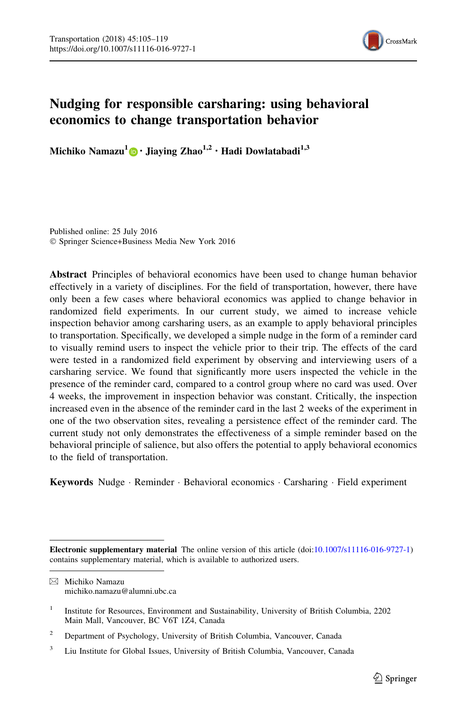

# Nudging for responsible carsharing: using behavioral economics to change transportation behavior

Michiko Namazu<sup>1</sup> [•](http://orcid.org/0000-0003-2311-2681) Jiaying Zhao<sup>1,2</sup> • Hadi Dowlatabadi<sup>1,3</sup>

Published online: 25 July 2016 - Springer Science+Business Media New York 2016

Abstract Principles of behavioral economics have been used to change human behavior effectively in a variety of disciplines. For the field of transportation, however, there have only been a few cases where behavioral economics was applied to change behavior in randomized field experiments. In our current study, we aimed to increase vehicle inspection behavior among carsharing users, as an example to apply behavioral principles to transportation. Specifically, we developed a simple nudge in the form of a reminder card to visually remind users to inspect the vehicle prior to their trip. The effects of the card were tested in a randomized field experiment by observing and interviewing users of a carsharing service. We found that significantly more users inspected the vehicle in the presence of the reminder card, compared to a control group where no card was used. Over 4 weeks, the improvement in inspection behavior was constant. Critically, the inspection increased even in the absence of the reminder card in the last 2 weeks of the experiment in one of the two observation sites, revealing a persistence effect of the reminder card. The current study not only demonstrates the effectiveness of a simple reminder based on the behavioral principle of salience, but also offers the potential to apply behavioral economics to the field of transportation.

Keywords Nudge · Reminder · Behavioral economics · Carsharing · Field experiment

Electronic supplementary material The online version of this article (doi:[10.1007/s11116-016-9727-1](http://dx.doi.org/10.1007/s11116-016-9727-1)) contains supplementary material, which is available to authorized users.

<sup>&</sup>amp; Michiko Namazu michiko.namazu@alumni.ubc.ca

<sup>&</sup>lt;sup>1</sup> Institute for Resources, Environment and Sustainability, University of British Columbia, 2202 Main Mall, Vancouver, BC V6T 1Z4, Canada

<sup>&</sup>lt;sup>2</sup> Department of Psychology, University of British Columbia, Vancouver, Canada

<sup>&</sup>lt;sup>3</sup> Liu Institute for Global Issues, University of British Columbia, Vancouver, Canada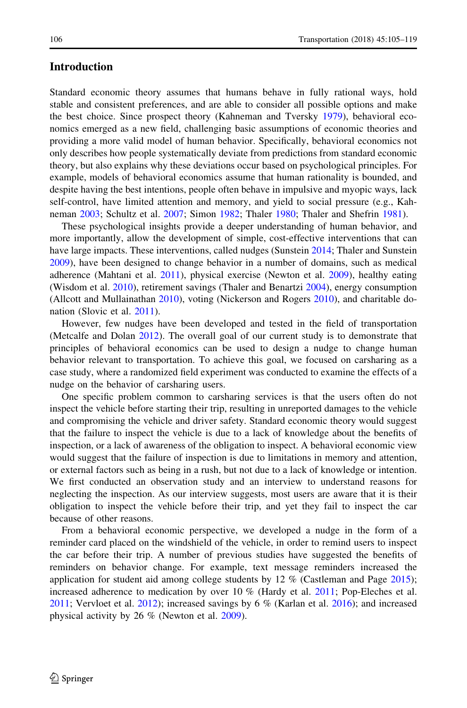## Introduction

Standard economic theory assumes that humans behave in fully rational ways, hold stable and consistent preferences, and are able to consider all possible options and make the best choice. Since prospect theory (Kahneman and Tversky [1979\)](#page-12-0), behavioral economics emerged as a new field, challenging basic assumptions of economic theories and providing a more valid model of human behavior. Specifically, behavioral economics not only describes how people systematically deviate from predictions from standard economic theory, but also explains why these deviations occur based on psychological principles. For example, models of behavioral economics assume that human rationality is bounded, and despite having the best intentions, people often behave in impulsive and myopic ways, lack self-control, have limited attention and memory, and yield to social pressure (e.g., Kahneman [2003](#page-12-0); Schultz et al. [2007](#page-13-0); Simon [1982;](#page-13-0) Thaler [1980](#page-13-0); Thaler and Shefrin [1981\)](#page-13-0).

These psychological insights provide a deeper understanding of human behavior, and more importantly, allow the development of simple, cost-effective interventions that can have large impacts. These interventions, called nudges (Sunstein [2014](#page-13-0); Thaler and Sunstein [2009\)](#page-13-0), have been designed to change behavior in a number of domains, such as medical adherence (Mahtani et al. [2011\)](#page-13-0), physical exercise (Newton et al. [2009](#page-13-0)), healthy eating (Wisdom et al. [2010](#page-13-0)), retirement savings (Thaler and Benartzi [2004\)](#page-13-0), energy consumption (Allcott and Mullainathan [2010](#page-12-0)), voting (Nickerson and Rogers [2010](#page-13-0)), and charitable donation (Slovic et al. [2011\)](#page-13-0).

However, few nudges have been developed and tested in the field of transportation (Metcalfe and Dolan [2012\)](#page-13-0). The overall goal of our current study is to demonstrate that principles of behavioral economics can be used to design a nudge to change human behavior relevant to transportation. To achieve this goal, we focused on carsharing as a case study, where a randomized field experiment was conducted to examine the effects of a nudge on the behavior of carsharing users.

One specific problem common to carsharing services is that the users often do not inspect the vehicle before starting their trip, resulting in unreported damages to the vehicle and compromising the vehicle and driver safety. Standard economic theory would suggest that the failure to inspect the vehicle is due to a lack of knowledge about the benefits of inspection, or a lack of awareness of the obligation to inspect. A behavioral economic view would suggest that the failure of inspection is due to limitations in memory and attention, or external factors such as being in a rush, but not due to a lack of knowledge or intention. We first conducted an observation study and an interview to understand reasons for neglecting the inspection. As our interview suggests, most users are aware that it is their obligation to inspect the vehicle before their trip, and yet they fail to inspect the car because of other reasons.

From a behavioral economic perspective, we developed a nudge in the form of a reminder card placed on the windshield of the vehicle, in order to remind users to inspect the car before their trip. A number of previous studies have suggested the benefits of reminders on behavior change. For example, text message reminders increased the application for student aid among college students by 12 % (Castleman and Page [2015\)](#page-12-0); increased adherence to medication by over 10 % (Hardy et al. [2011;](#page-12-0) Pop-Eleches et al. [2011;](#page-13-0) Vervloet et al. [2012](#page-13-0)); increased savings by 6 % (Karlan et al. [2016](#page-12-0)); and increased physical activity by 26 % (Newton et al. [2009](#page-13-0)).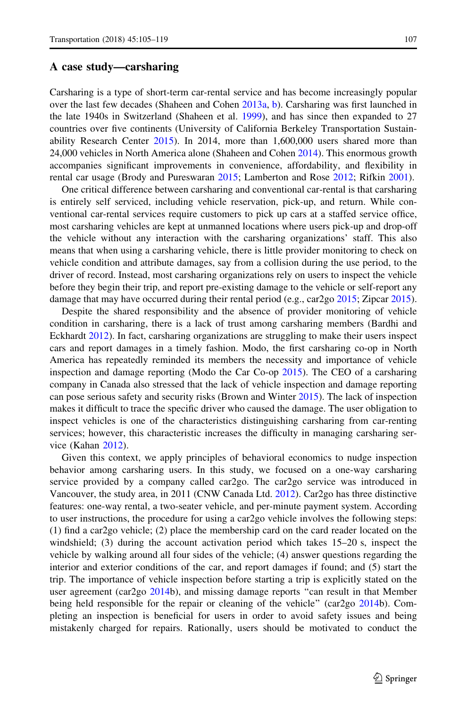## A case study—carsharing

Carsharing is a type of short-term car-rental service and has become increasingly popular over the last few decades (Shaheen and Cohen [2013a](#page-13-0), [b\)](#page-13-0). Carsharing was first launched in the late 1940s in Switzerland (Shaheen et al. [1999\)](#page-13-0), and has since then expanded to 27 countries over five continents (University of California Berkeley Transportation Sustainability Research Center [2015\)](#page-13-0). In 2014, more than 1,600,000 users shared more than 24,000 vehicles in North America alone (Shaheen and Cohen [2014](#page-13-0)). This enormous growth accompanies significant improvements in convenience, affordability, and flexibility in rental car usage (Brody and Pureswaran [2015](#page-12-0); Lamberton and Rose [2012;](#page-12-0) Rifkin [2001\)](#page-13-0).

One critical difference between carsharing and conventional car-rental is that carsharing is entirely self serviced, including vehicle reservation, pick-up, and return. While conventional car-rental services require customers to pick up cars at a staffed service office, most carsharing vehicles are kept at unmanned locations where users pick-up and drop-off the vehicle without any interaction with the carsharing organizations' staff. This also means that when using a carsharing vehicle, there is little provider monitoring to check on vehicle condition and attribute damages, say from a collision during the use period, to the driver of record. Instead, most carsharing organizations rely on users to inspect the vehicle before they begin their trip, and report pre-existing damage to the vehicle or self-report any damage that may have occurred during their rental period (e.g., car2go [2015;](#page-12-0) Zipcar [2015](#page-13-0)).

Despite the shared responsibility and the absence of provider monitoring of vehicle condition in carsharing, there is a lack of trust among carsharing members (Bardhi and Eckhardt [2012\)](#page-12-0). In fact, carsharing organizations are struggling to make their users inspect cars and report damages in a timely fashion. Modo, the first carsharing co-op in North America has repeatedly reminded its members the necessity and importance of vehicle inspection and damage reporting (Modo the Car Co-op [2015\)](#page-13-0). The CEO of a carsharing company in Canada also stressed that the lack of vehicle inspection and damage reporting can pose serious safety and security risks (Brown and Winter [2015](#page-12-0)). The lack of inspection makes it difficult to trace the specific driver who caused the damage. The user obligation to inspect vehicles is one of the characteristics distinguishing carsharing from car-renting services; however, this characteristic increases the difficulty in managing carsharing service (Kahan [2012\)](#page-12-0).

Given this context, we apply principles of behavioral economics to nudge inspection behavior among carsharing users. In this study, we focused on a one-way carsharing service provided by a company called car2go. The car2go service was introduced in Vancouver, the study area, in 2011 (CNW Canada Ltd. [2012\)](#page-12-0). Car2go has three distinctive features: one-way rental, a two-seater vehicle, and per-minute payment system. According to user instructions, the procedure for using a car2go vehicle involves the following steps: (1) find a car2go vehicle; (2) place the membership card on the card reader located on the windshield; (3) during the account activation period which takes 15–20 s, inspect the vehicle by walking around all four sides of the vehicle; (4) answer questions regarding the interior and exterior conditions of the car, and report damages if found; and (5) start the trip. The importance of vehicle inspection before starting a trip is explicitly stated on the user agreement (car2go [2014](#page-12-0)b), and missing damage reports ''can result in that Member being held responsible for the repair or cleaning of the vehicle'' (car2go [2014](#page-12-0)b). Completing an inspection is beneficial for users in order to avoid safety issues and being mistakenly charged for repairs. Rationally, users should be motivated to conduct the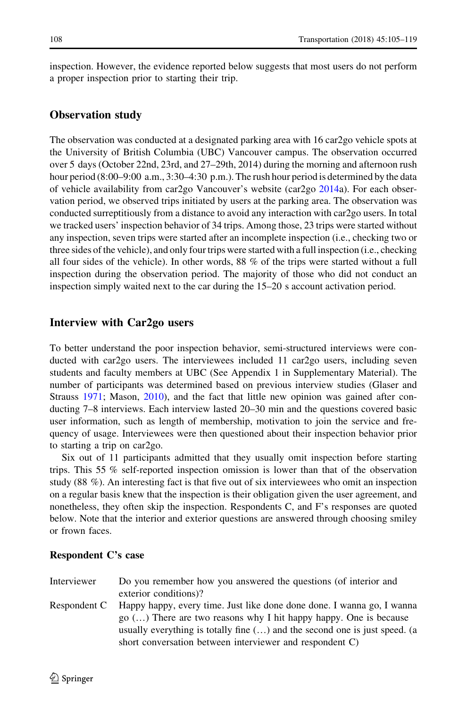inspection. However, the evidence reported below suggests that most users do not perform a proper inspection prior to starting their trip.

## Observation study

The observation was conducted at a designated parking area with 16 car2go vehicle spots at the University of British Columbia (UBC) Vancouver campus. The observation occurred over 5 days (October 22nd, 23rd, and 27–29th, 2014) during the morning and afternoon rush hour period (8:00–9:00 a.m., 3:30–4:30 p.m.). The rush hour period is determined by the data of vehicle availability from car2go Vancouver's website (car2go [2014](#page-12-0)a). For each observation period, we observed trips initiated by users at the parking area. The observation was conducted surreptitiously from a distance to avoid any interaction with car2go users. In total we tracked users' inspection behavior of 34 trips. Among those, 23 trips were started without any inspection, seven trips were started after an incomplete inspection (i.e., checking two or three sides of the vehicle), and only four trips were started with a full inspection (i.e., checking all four sides of the vehicle). In other words, 88 % of the trips were started without a full inspection during the observation period. The majority of those who did not conduct an inspection simply waited next to the car during the 15–20 s account activation period.

## Interview with Car2go users

To better understand the poor inspection behavior, semi-structured interviews were conducted with car2go users. The interviewees included 11 car2go users, including seven students and faculty members at UBC (See Appendix 1 in Supplementary Material). The number of participants was determined based on previous interview studies (Glaser and Strauss [1971;](#page-12-0) Mason, [2010](#page-13-0)), and the fact that little new opinion was gained after conducting 7–8 interviews. Each interview lasted 20–30 min and the questions covered basic user information, such as length of membership, motivation to join the service and frequency of usage. Interviewees were then questioned about their inspection behavior prior to starting a trip on car2go.

Six out of 11 participants admitted that they usually omit inspection before starting trips. This 55 % self-reported inspection omission is lower than that of the observation study (88 %). An interesting fact is that five out of six interviewees who omit an inspection on a regular basis knew that the inspection is their obligation given the user agreement, and nonetheless, they often skip the inspection. Respondents C, and F's responses are quoted below. Note that the interior and exterior questions are answered through choosing smiley or frown faces.

### Respondent C's case

| Interviewer | Do you remember how you answered the questions (of interior and                 |
|-------------|---------------------------------------------------------------------------------|
|             | exterior conditions)?                                                           |
|             | Respondent C Happy happy every time. Just like done done done I wanna go I want |

Respondent C Happy happy, every time. Just like done done done. I wanna go, I wanna go (…) There are two reasons why I hit happy happy. One is because usually everything is totally fine (…) and the second one is just speed. (a short conversation between interviewer and respondent C)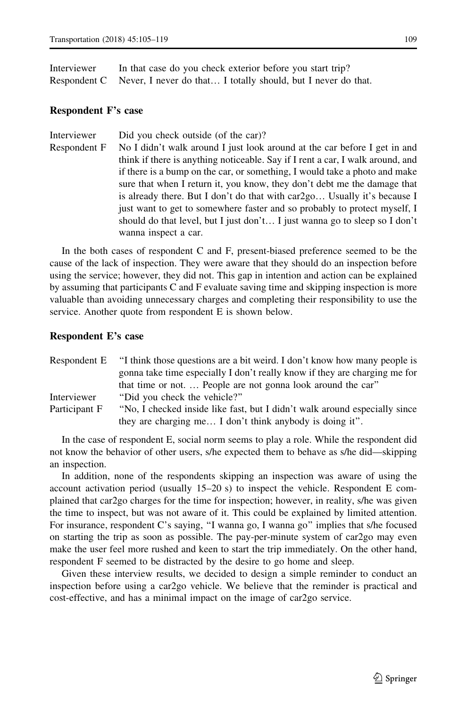Interviewer In that case do you check exterior before you start trip? Respondent C Never, I never do that… I totally should, but I never do that.

#### Respondent F's case

Interviewer Did you check outside (of the car)? Respondent F No I didn't walk around I just look around at the car before I get in and think if there is anything noticeable. Say if I rent a car, I walk around, and if there is a bump on the car, or something, I would take a photo and make sure that when I return it, you know, they don't debt me the damage that is already there. But I don't do that with car2go… Usually it's because I just want to get to somewhere faster and so probably to protect myself, I should do that level, but I just don't… I just wanna go to sleep so I don't wanna inspect a car.

In the both cases of respondent C and F, present-biased preference seemed to be the cause of the lack of inspection. They were aware that they should do an inspection before using the service; however, they did not. This gap in intention and action can be explained by assuming that participants C and F evaluate saving time and skipping inspection is more valuable than avoiding unnecessary charges and completing their responsibility to use the service. Another quote from respondent E is shown below.

#### Respondent E's case

| Respondent E  | "I think those questions are a bit weird. I don't know how many people is  |  |  |
|---------------|----------------------------------------------------------------------------|--|--|
|               | gonna take time especially I don't really know if they are charging me for |  |  |
|               | that time or not People are not gonna look around the car"                 |  |  |
| Interviewer   | "Did you check the vehicle?"                                               |  |  |
| Participant F | "No, I checked inside like fast, but I didn't walk around especially since |  |  |
|               | they are charging me I don't think anybody is doing it".                   |  |  |

In the case of respondent E, social norm seems to play a role. While the respondent did not know the behavior of other users, s/he expected them to behave as s/he did—skipping an inspection.

In addition, none of the respondents skipping an inspection was aware of using the account activation period (usually 15–20 s) to inspect the vehicle. Respondent E complained that car2go charges for the time for inspection; however, in reality, s/he was given the time to inspect, but was not aware of it. This could be explained by limited attention. For insurance, respondent C's saying, "I wanna go, I wanna go" implies that s/he focused on starting the trip as soon as possible. The pay-per-minute system of car2go may even make the user feel more rushed and keen to start the trip immediately. On the other hand, respondent F seemed to be distracted by the desire to go home and sleep.

Given these interview results, we decided to design a simple reminder to conduct an inspection before using a car2go vehicle. We believe that the reminder is practical and cost-effective, and has a minimal impact on the image of car2go service.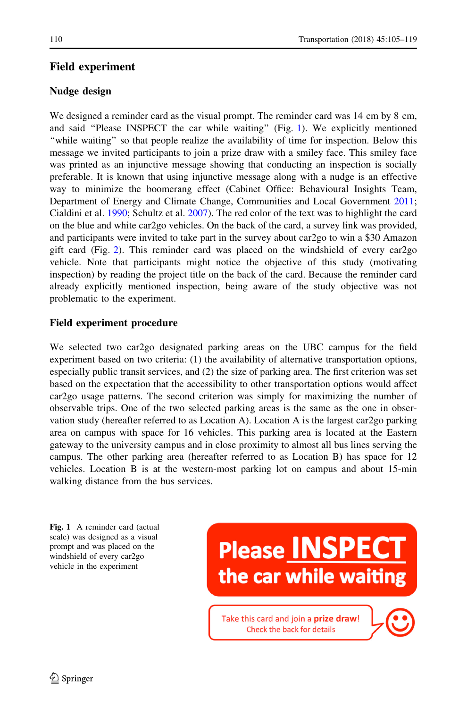## Field experiment

## Nudge design

We designed a reminder card as the visual prompt. The reminder card was 14 cm by 8 cm, and said ''Please INSPECT the car while waiting'' (Fig. 1). We explicitly mentioned ''while waiting'' so that people realize the availability of time for inspection. Below this message we invited participants to join a prize draw with a smiley face. This smiley face was printed as an injunctive message showing that conducting an inspection is socially preferable. It is known that using injunctive message along with a nudge is an effective way to minimize the boomerang effect (Cabinet Office: Behavioural Insights Team, Department of Energy and Climate Change, Communities and Local Government [2011;](#page-12-0) Cialdini et al. [1990;](#page-12-0) Schultz et al. [2007\)](#page-13-0). The red color of the text was to highlight the card on the blue and white car2go vehicles. On the back of the card, a survey link was provided, and participants were invited to take part in the survey about car2go to win a \$30 Amazon gift card (Fig. [2\)](#page-6-0). This reminder card was placed on the windshield of every car2go vehicle. Note that participants might notice the objective of this study (motivating inspection) by reading the project title on the back of the card. Because the reminder card already explicitly mentioned inspection, being aware of the study objective was not problematic to the experiment.

## Field experiment procedure

We selected two car2go designated parking areas on the UBC campus for the field experiment based on two criteria: (1) the availability of alternative transportation options, especially public transit services, and (2) the size of parking area. The first criterion was set based on the expectation that the accessibility to other transportation options would affect car2go usage patterns. The second criterion was simply for maximizing the number of observable trips. One of the two selected parking areas is the same as the one in observation study (hereafter referred to as Location A). Location A is the largest car2go parking area on campus with space for 16 vehicles. This parking area is located at the Eastern gateway to the university campus and in close proximity to almost all bus lines serving the campus. The other parking area (hereafter referred to as Location B) has space for 12 vehicles. Location B is at the western-most parking lot on campus and about 15-min walking distance from the bus services.

Fig. 1 A reminder card (actual scale) was designed as a visual prompt and was placed on the windshield of every car2go vehicle in the experiment

# **Please INSPI** the car while waiting

Take this card and join a prize draw! Check the back for details

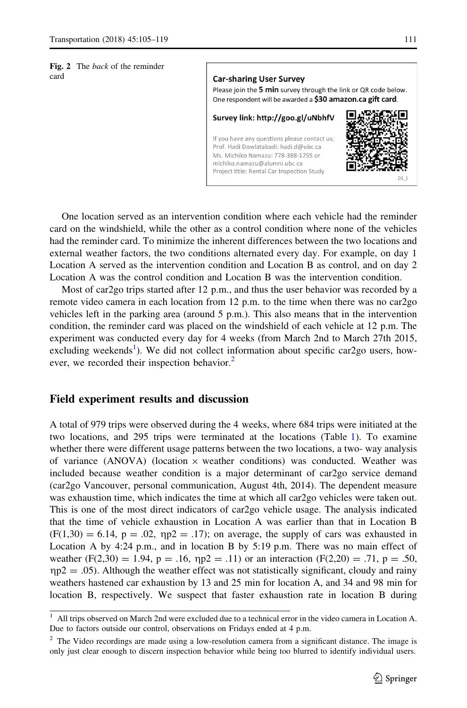<span id="page-6-0"></span>

## **Car-sharing User Survey** Please join the 5 min survey through the link or QR code below. One respondent will be awarded a \$30 amazon.ca gift card. Survey link: http://goo.gl/uNbhfV If you have any questions please contact us; Prof. Hadi Dowlatabadi: hadi.d@ubc.ca Ms. Michiko Namazu: 778-388-1755 or michiko.namazu@alumni.ubc.ca Project title: Rental Car Inspection Study

One location served as an intervention condition where each vehicle had the reminder card on the windshield, while the other as a control condition where none of the vehicles had the reminder card. To minimize the inherent differences between the two locations and external weather factors, the two conditions alternated every day. For example, on day 1 Location A served as the intervention condition and Location B as control, and on day 2 Location A was the control condition and Location B was the intervention condition.

Most of car2go trips started after 12 p.m., and thus the user behavior was recorded by a remote video camera in each location from 12 p.m. to the time when there was no car2go vehicles left in the parking area (around 5 p.m.). This also means that in the intervention condition, the reminder card was placed on the windshield of each vehicle at 12 p.m. The experiment was conducted every day for 4 weeks (from March 2nd to March 27th 2015, excluding weekends<sup>1</sup>). We did not collect information about specific car2go users, however, we recorded their inspection behavior.<sup>2</sup>

## Field experiment results and discussion

A total of 979 trips were observed during the 4 weeks, where 684 trips were initiated at the two locations, and 295 trips were terminated at the locations (Table [1\)](#page-7-0). To examine whether there were different usage patterns between the two locations, a two- way analysis of variance (ANOVA) (location  $\times$  weather conditions) was conducted. Weather was included because weather condition is a major determinant of car2go service demand (car2go Vancouver, personal communication, August 4th, 2014). The dependent measure was exhaustion time, which indicates the time at which all car2go vehicles were taken out. This is one of the most direct indicators of car2go vehicle usage. The analysis indicated that the time of vehicle exhaustion in Location A was earlier than that in Location B  $(F(1,30) = 6.14, p = .02, \eta p2 = .17)$ ; on average, the supply of cars was exhausted in Location A by 4:24 p.m., and in location B by 5:19 p.m. There was no main effect of weather  $(F(2,30) = 1.94, p = .16, \eta p2 = .11)$  or an interaction  $(F(2,20) = .71, p = .50,$  $np2 = .05$ ). Although the weather effect was not statistically significant, cloudy and rainy weathers hastened car exhaustion by 13 and 25 min for location A, and 34 and 98 min for location B, respectively. We suspect that faster exhaustion rate in location B during

<sup>1</sup> All trips observed on March 2nd were excluded due to a technical error in the video camera in Location A. Due to factors outside our control, observations on Fridays ended at 4 p.m.

 $2\degree$  The Video recordings are made using a low-resolution camera from a significant distance. The image is only just clear enough to discern inspection behavior while being too blurred to identify individual users.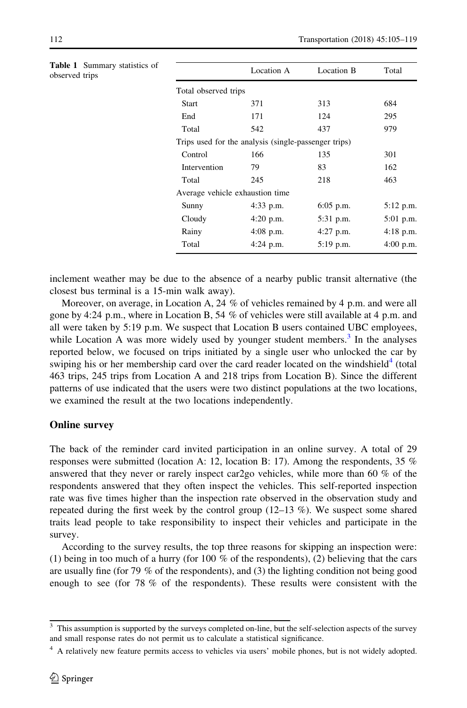<span id="page-7-0"></span>

| <b>Table 1</b> Summary statistics of<br>observed trips |                                                      | Location A  | Location B  | Total       |  |
|--------------------------------------------------------|------------------------------------------------------|-------------|-------------|-------------|--|
|                                                        | Total observed trips                                 |             |             |             |  |
|                                                        | Start                                                | 371         | 313         | 684         |  |
|                                                        | End                                                  | 171         | 124         | 295         |  |
|                                                        | Total                                                | 542         | 437         | 979         |  |
|                                                        | Trips used for the analysis (single-passenger trips) |             |             |             |  |
|                                                        | Control                                              | 166         | 135         | 301         |  |
|                                                        | Intervention                                         | 79          | 83          | 162         |  |
|                                                        | Total                                                | 245         | 218         | 463         |  |
|                                                        | Average vehicle exhaustion time                      |             |             |             |  |
|                                                        | Sunny                                                | $4:33$ p.m. | $6:05$ p.m. | $5:12$ p.m. |  |
|                                                        | Cloudy                                               | $4:20$ p.m. | $5:31$ p.m. | $5:01$ p.m. |  |
|                                                        | Rainy                                                | $4:08$ p.m. | $4:27$ p.m. | $4:18$ p.m. |  |
|                                                        | Total                                                | $4:24$ p.m. | 5:19 p.m.   | $4:00$ p.m. |  |

inclement weather may be due to the absence of a nearby public transit alternative (the closest bus terminal is a 15-min walk away).

Moreover, on average, in Location A, 24 % of vehicles remained by 4 p.m. and were all gone by 4:24 p.m., where in Location B, 54 % of vehicles were still available at 4 p.m. and all were taken by 5:19 p.m. We suspect that Location B users contained UBC employees, while Location A was more widely used by younger student members.<sup>3</sup> In the analyses reported below, we focused on trips initiated by a single user who unlocked the car by swiping his or her membership card over the card reader located on the windshield<sup>4</sup> (total 463 trips, 245 trips from Location A and 218 trips from Location B). Since the different patterns of use indicated that the users were two distinct populations at the two locations, we examined the result at the two locations independently.

#### Online survey

The back of the reminder card invited participation in an online survey. A total of 29 responses were submitted (location A: 12, location B: 17). Among the respondents, 35 % answered that they never or rarely inspect car2go vehicles, while more than 60 % of the respondents answered that they often inspect the vehicles. This self-reported inspection rate was five times higher than the inspection rate observed in the observation study and repeated during the first week by the control group  $(12-13 \%)$ . We suspect some shared traits lead people to take responsibility to inspect their vehicles and participate in the survey.

According to the survey results, the top three reasons for skipping an inspection were: (1) being in too much of a hurry (for 100  $\%$  of the respondents), (2) believing that the cars are usually fine (for 79 % of the respondents), and (3) the lighting condition not being good enough to see (for 78  $\%$  of the respondents). These results were consistent with the

This assumption is supported by the surveys completed on-line, but the self-selection aspects of the survey and small response rates do not permit us to calculate a statistical significance.

<sup>&</sup>lt;sup>4</sup> A relatively new feature permits access to vehicles via users' mobile phones, but is not widely adopted.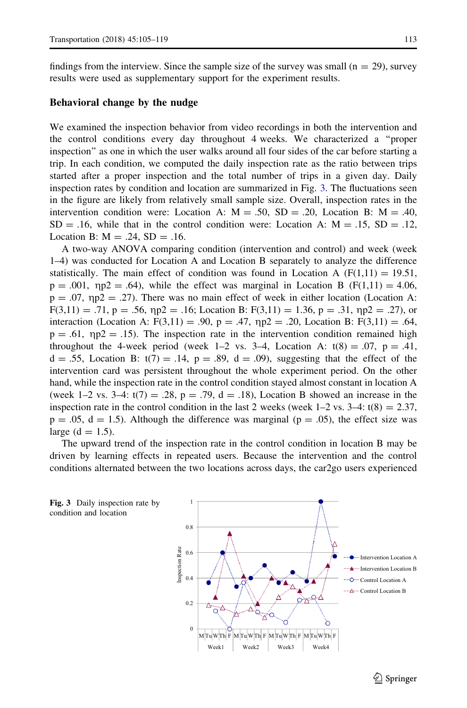findings from the interview. Since the sample size of the survey was small  $(n = 29)$ , survey results were used as supplementary support for the experiment results.

#### Behavioral change by the nudge

We examined the inspection behavior from video recordings in both the intervention and the control conditions every day throughout 4 weeks. We characterized a ''proper inspection'' as one in which the user walks around all four sides of the car before starting a trip. In each condition, we computed the daily inspection rate as the ratio between trips started after a proper inspection and the total number of trips in a given day. Daily inspection rates by condition and location are summarized in Fig. 3. The fluctuations seen in the figure are likely from relatively small sample size. Overall, inspection rates in the intervention condition were: Location A:  $M = .50$ ,  $SD = .20$ , Location B:  $M = .40$ ,  $SD = .16$ , while that in the control condition were: Location A:  $M = .15$ ,  $SD = .12$ , Location B:  $M = .24$ ,  $SD = .16$ .

A two-way ANOVA comparing condition (intervention and control) and week (week 1–4) was conducted for Location A and Location B separately to analyze the difference statistically. The main effect of condition was found in Location A  $(F(1,11) = 19.51$ ,  $p = .001$ ,  $np2 = .64$ ), while the effect was marginal in Location B (F(1,11) = 4.06,  $p = .07$ ,  $np2 = .27$ ). There was no main effect of week in either location (Location A:  $F(3,11) = .71$ ,  $p = .56$ ,  $np2 = .16$ ; Location B:  $F(3,11) = 1.36$ ,  $p = .31$ ,  $np2 = .27$ ), or interaction (Location A: F(3,11) = .90, p = .47,  $np2$  = .20, Location B: F(3,11) = .64,  $p = .61$ ,  $np2 = .15$ ). The inspection rate in the intervention condition remained high throughout the 4-week period (week 1–2 vs. 3–4, Location A:  $t(8) = .07$ ,  $p = .41$ ,  $d = .55$ , Location B:  $t(7) = .14$ ,  $p = .89$ ,  $d = .09$ ), suggesting that the effect of the intervention card was persistent throughout the whole experiment period. On the other hand, while the inspection rate in the control condition stayed almost constant in location A (week 1–2 vs. 3–4:  $t(7) = .28$ ,  $p = .79$ ,  $d = .18$ ), Location B showed an increase in the inspection rate in the control condition in the last 2 weeks (week  $1-2$  vs.  $3-4$ :  $t(8) = 2.37$ ,  $p = .05$ ,  $d = 1.5$ ). Although the difference was marginal ( $p = .05$ ), the effect size was large  $(d = 1.5)$ .

The upward trend of the inspection rate in the control condition in location B may be driven by learning effects in repeated users. Because the intervention and the control conditions alternated between the two locations across days, the car2go users experienced

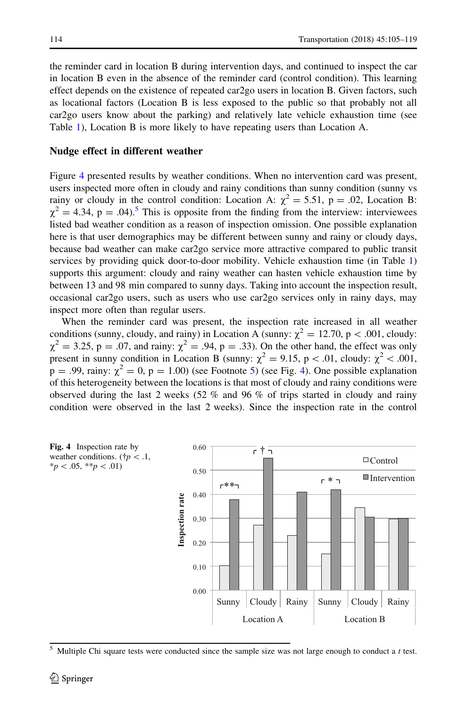the reminder card in location B during intervention days, and continued to inspect the car in location B even in the absence of the reminder card (control condition). This learning effect depends on the existence of repeated car2go users in location B. Given factors, such as locational factors (Location B is less exposed to the public so that probably not all car2go users know about the parking) and relatively late vehicle exhaustion time (see Table [1](#page-7-0)), Location B is more likely to have repeating users than Location A.

#### Nudge effect in different weather

Figure 4 presented results by weather conditions. When no intervention card was present, users inspected more often in cloudy and rainy conditions than sunny condition (sunny vs rainy or cloudy in the control condition: Location A:  $\chi^2 = 5.51$ , p = .02, Location B:  $\gamma^2 = 4.34$ , p = .04).<sup>5</sup> This is opposite from the finding from the interview: interviewees listed bad weather condition as a reason of inspection omission. One possible explanation here is that user demographics may be different between sunny and rainy or cloudy days, because bad weather can make car2go service more attractive compared to public transit services by providing quick door-to-door mobility. Vehicle exhaustion time (in Table [1](#page-7-0)) supports this argument: cloudy and rainy weather can hasten vehicle exhaustion time by between 13 and 98 min compared to sunny days. Taking into account the inspection result, occasional car2go users, such as users who use car2go services only in rainy days, may inspect more often than regular users.

When the reminder card was present, the inspection rate increased in all weather conditions (sunny, cloudy, and rainy) in Location A (sunny:  $\gamma^2 = 12.70$ , p < .001, cloudy:  $\chi^2 = 3.25$ , p = .07, and rainy:  $\chi^2 = .94$ , p = .33). On the other hand, the effect was only present in sunny condition in Location B (sunny:  $\chi^2 = 9.15$ , p < .01, cloudy:  $\chi^2$  < .001,  $p = .99$ , rainy:  $\chi^2 = 0$ ,  $p = 1.00$ ) (see Footnote 5) (see Fig. 4). One possible explanation of this heterogeneity between the locations is that most of cloudy and rainy conditions were observed during the last 2 weeks (52 % and 96 % of trips started in cloudy and rainy condition were observed in the last 2 weeks). Since the inspection rate in the control



Multiple Chi square tests were conducted since the sample size was not large enough to conduct a  $t$  test.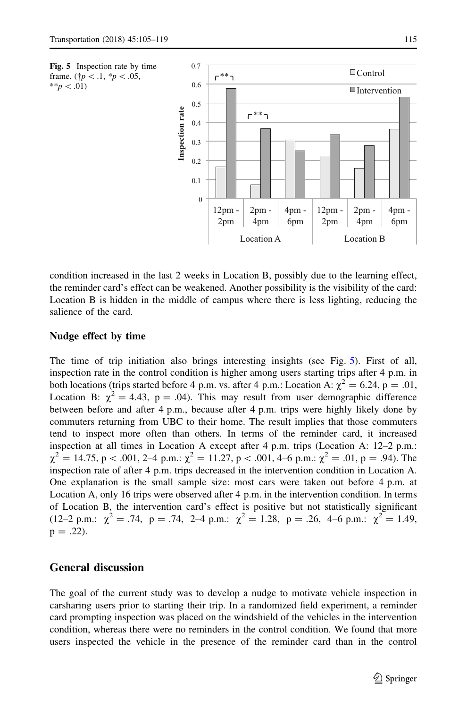

condition increased in the last 2 weeks in Location B, possibly due to the learning effect, the reminder card's effect can be weakened. Another possibility is the visibility of the card: Location B is hidden in the middle of campus where there is less lighting, reducing the salience of the card.

#### Nudge effect by time

The time of trip initiation also brings interesting insights (see Fig. 5). First of all, inspection rate in the control condition is higher among users starting trips after 4 p.m. in both locations (trips started before 4 p.m. vs. after 4 p.m.: Location A:  $\chi^2 = 6.24$ , p = .01, Location B:  $\chi^2 = 4.43$ , p = .04). This may result from user demographic difference between before and after 4 p.m., because after 4 p.m. trips were highly likely done by commuters returning from UBC to their home. The result implies that those commuters tend to inspect more often than others. In terms of the reminder card, it increased inspection at all times in Location A except after 4 p.m. trips (Location A: 12–2 p.m.:  $\chi^2 = 14.75$ , p < .001, 2–4 p.m.:  $\chi^2 = 11.27$ , p < .001, 4–6 p.m.:  $\chi^2 = .01$ , p = .94). The inspection rate of after 4 p.m. trips decreased in the intervention condition in Location A. One explanation is the small sample size: most cars were taken out before 4 p.m. at Location A, only 16 trips were observed after 4 p.m. in the intervention condition. In terms of Location B, the intervention card's effect is positive but not statistically significant (12–2 p.m.:  $\chi^2 = .74$ , p = .74, 2–4 p.m.:  $\chi^2 = 1.28$ , p = .26, 4–6 p.m.:  $\chi^2 = 1.49$ ,  $p = .22$ ).

## General discussion

The goal of the current study was to develop a nudge to motivate vehicle inspection in carsharing users prior to starting their trip. In a randomized field experiment, a reminder card prompting inspection was placed on the windshield of the vehicles in the intervention condition, whereas there were no reminders in the control condition. We found that more users inspected the vehicle in the presence of the reminder card than in the control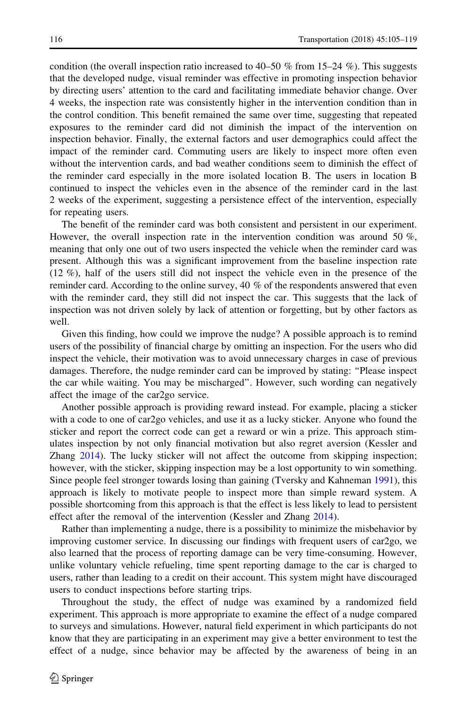condition (the overall inspection ratio increased to 40–50 % from 15–24 %). This suggests that the developed nudge, visual reminder was effective in promoting inspection behavior by directing users' attention to the card and facilitating immediate behavior change. Over 4 weeks, the inspection rate was consistently higher in the intervention condition than in the control condition. This benefit remained the same over time, suggesting that repeated exposures to the reminder card did not diminish the impact of the intervention on inspection behavior. Finally, the external factors and user demographics could affect the impact of the reminder card. Commuting users are likely to inspect more often even without the intervention cards, and bad weather conditions seem to diminish the effect of the reminder card especially in the more isolated location B. The users in location B continued to inspect the vehicles even in the absence of the reminder card in the last 2 weeks of the experiment, suggesting a persistence effect of the intervention, especially for repeating users.

The benefit of the reminder card was both consistent and persistent in our experiment. However, the overall inspection rate in the intervention condition was around 50 %, meaning that only one out of two users inspected the vehicle when the reminder card was present. Although this was a significant improvement from the baseline inspection rate (12 %), half of the users still did not inspect the vehicle even in the presence of the reminder card. According to the online survey, 40 % of the respondents answered that even with the reminder card, they still did not inspect the car. This suggests that the lack of inspection was not driven solely by lack of attention or forgetting, but by other factors as well.

Given this finding, how could we improve the nudge? A possible approach is to remind users of the possibility of financial charge by omitting an inspection. For the users who did inspect the vehicle, their motivation was to avoid unnecessary charges in case of previous damages. Therefore, the nudge reminder card can be improved by stating: ''Please inspect the car while waiting. You may be mischarged''. However, such wording can negatively affect the image of the car2go service.

Another possible approach is providing reward instead. For example, placing a sticker with a code to one of car2go vehicles, and use it as a lucky sticker. Anyone who found the sticker and report the correct code can get a reward or win a prize. This approach stimulates inspection by not only financial motivation but also regret aversion (Kessler and Zhang [2014](#page-12-0)). The lucky sticker will not affect the outcome from skipping inspection; however, with the sticker, skipping inspection may be a lost opportunity to win something. Since people feel stronger towards losing than gaining (Tversky and Kahneman [1991\)](#page-13-0), this approach is likely to motivate people to inspect more than simple reward system. A possible shortcoming from this approach is that the effect is less likely to lead to persistent effect after the removal of the intervention (Kessler and Zhang [2014](#page-12-0)).

Rather than implementing a nudge, there is a possibility to minimize the misbehavior by improving customer service. In discussing our findings with frequent users of car2go, we also learned that the process of reporting damage can be very time-consuming. However, unlike voluntary vehicle refueling, time spent reporting damage to the car is charged to users, rather than leading to a credit on their account. This system might have discouraged users to conduct inspections before starting trips.

Throughout the study, the effect of nudge was examined by a randomized field experiment. This approach is more appropriate to examine the effect of a nudge compared to surveys and simulations. However, natural field experiment in which participants do not know that they are participating in an experiment may give a better environment to test the effect of a nudge, since behavior may be affected by the awareness of being in an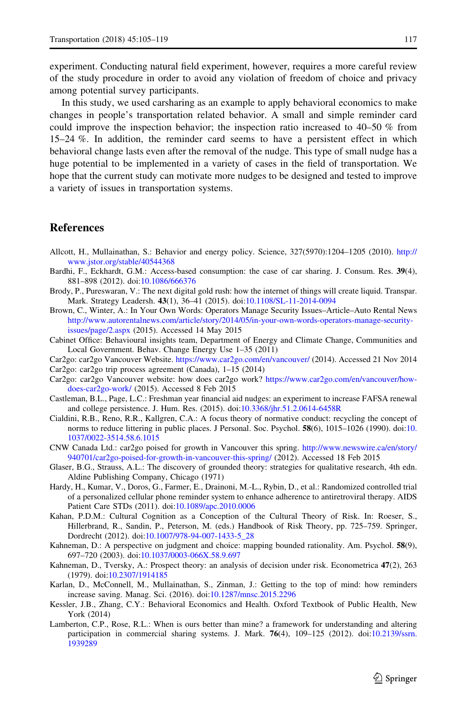<span id="page-12-0"></span>experiment. Conducting natural field experiment, however, requires a more careful review of the study procedure in order to avoid any violation of freedom of choice and privacy among potential survey participants.

In this study, we used carsharing as an example to apply behavioral economics to make changes in people's transportation related behavior. A small and simple reminder card could improve the inspection behavior; the inspection ratio increased to  $40-50\%$  from 15–24 %. In addition, the reminder card seems to have a persistent effect in which behavioral change lasts even after the removal of the nudge. This type of small nudge has a huge potential to be implemented in a variety of cases in the field of transportation. We hope that the current study can motivate more nudges to be designed and tested to improve a variety of issues in transportation systems.

## References

- Allcott, H., Mullainathan, S.: Behavior and energy policy. Science, 327(5970):1204–1205 (2010). [http://](http://www.jstor.org/stable/40544368) [www.jstor.org/stable/40544368](http://www.jstor.org/stable/40544368)
- Bardhi, F., Eckhardt, G.M.: Access-based consumption: the case of car sharing. J. Consum. Res. 39(4), 881–898 (2012). doi[:10.1086/666376](http://dx.doi.org/10.1086/666376)
- Brody, P., Pureswaran, V.: The next digital gold rush: how the internet of things will create liquid. Transpar. Mark. Strategy Leadersh. 43(1), 36–41 (2015). doi[:10.1108/SL-11-2014-0094](http://dx.doi.org/10.1108/SL-11-2014-0094)
- Brown, C., Winter, A.: In Your Own Words: Operators Manage Security Issues–Article–Auto Rental News [http://www.autorentalnews.com/article/story/2014/05/in-your-own-words-operators-manage-security](http://www.autorentalnews.com/article/story/2014/05/in-your-own-words-operators-manage-security-issues/page/2.aspx)[issues/page/2.aspx](http://www.autorentalnews.com/article/story/2014/05/in-your-own-words-operators-manage-security-issues/page/2.aspx) (2015). Accessed 14 May 2015
- Cabinet Office: Behavioural insights team, Department of Energy and Climate Change, Communities and Local Government. Behav. Change Energy Use 1–35 (2011)
- Car2go: car2go Vancouver Website. <https://www.car2go.com/en/vancouver/> (2014). Accessed 21 Nov 2014
- Car2go: car2go trip process agreement (Canada), 1–15 (2014)
- Car2go: car2go Vancouver website: how does car2go work? [https://www.car2go.com/en/vancouver/how](https://www.car2go.com/en/vancouver/how-does-car2go-work/)[does-car2go-work/](https://www.car2go.com/en/vancouver/how-does-car2go-work/) (2015). Accessed 8 Feb 2015
- Castleman, B.L., Page, L.C.: Freshman year financial aid nudges: an experiment to increase FAFSA renewal and college persistence. J. Hum. Res. (2015). doi:[10.3368/jhr.51.2.0614-6458R](http://dx.doi.org/10.3368/jhr.51.2.0614-6458R)
- Cialdini, R.B., Reno, R.R., Kallgren, C.A.: A focus theory of normative conduct: recycling the concept of norms to reduce littering in public places. J Personal. Soc. Psychol. 58(6), 1015–1026 (1990). doi:[10.](http://dx.doi.org/10.1037/0022-3514.58.6.1015) [1037/0022-3514.58.6.1015](http://dx.doi.org/10.1037/0022-3514.58.6.1015)
- CNW Canada Ltd.: car2go poised for growth in Vancouver this spring. [http://www.newswire.ca/en/story/](http://www.newswire.ca/en/story/940701/car2go-poised-for-growth-in-vancouver-this-spring/) [940701/car2go-poised-for-growth-in-vancouver-this-spring/](http://www.newswire.ca/en/story/940701/car2go-poised-for-growth-in-vancouver-this-spring/) (2012). Accessed 18 Feb 2015
- Glaser, B.G., Strauss, A.L.: The discovery of grounded theory: strategies for qualitative research, 4th edn. Aldine Publishing Company, Chicago (1971)
- Hardy, H., Kumar, V., Doros, G., Farmer, E., Drainoni, M.-L., Rybin, D., et al.: Randomized controlled trial of a personalized cellular phone reminder system to enhance adherence to antiretroviral therapy. AIDS Patient Care STDs (2011). doi[:10.1089/apc.2010.0006](http://dx.doi.org/10.1089/apc.2010.0006)
- Kahan, P.D.M.: Cultural Cognition as a Conception of the Cultural Theory of Risk. In: Roeser, S., Hillerbrand, R., Sandin, P., Peterson, M. (eds.) Handbook of Risk Theory, pp. 725–759. Springer, Dordrecht (2012). doi:[10.1007/978-94-007-1433-5\\_28](http://dx.doi.org/10.1007/978-94-007-1433-5_28)
- Kahneman, D.: A perspective on judgment and choice: mapping bounded rationality. Am. Psychol. 58(9), 697–720 (2003). doi[:10.1037/0003-066X.58.9.697](http://dx.doi.org/10.1037/0003-066X.58.9.697)
- Kahneman, D., Tversky, A.: Prospect theory: an analysis of decision under risk. Econometrica 47(2), 263 (1979). doi[:10.2307/1914185](http://dx.doi.org/10.2307/1914185)
- Karlan, D., McConnell, M., Mullainathan, S., Zinman, J.: Getting to the top of mind: how reminders increase saving. Manag. Sci. (2016). doi:[10.1287/mnsc.2015.2296](http://dx.doi.org/10.1287/mnsc.2015.2296)
- Kessler, J.B., Zhang, C.Y.: Behavioral Economics and Health. Oxford Textbook of Public Health, New York (2014)
- Lamberton, C.P., Rose, R.L.: When is ours better than mine? a framework for understanding and altering participation in commercial sharing systems. J. Mark. 76(4), 109–125 (2012). doi:[10.2139/ssrn.](http://dx.doi.org/10.2139/ssrn.1939289) [1939289](http://dx.doi.org/10.2139/ssrn.1939289)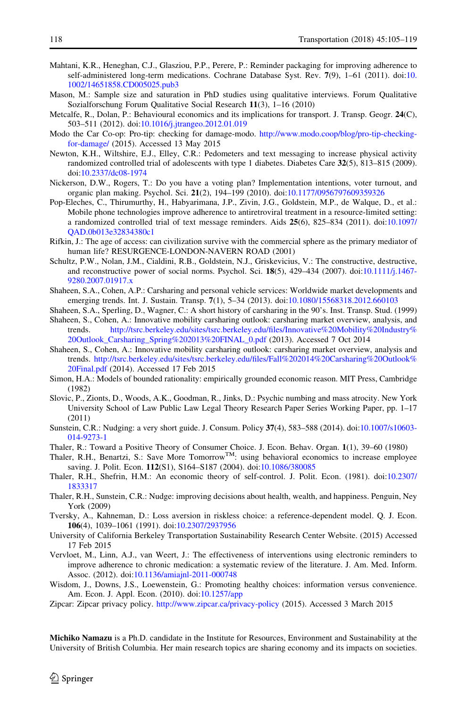- <span id="page-13-0"></span>Mahtani, K.R., Heneghan, C.J., Glasziou, P.P., Perere, P.: Reminder packaging for improving adherence to self-administered long-term medications. Cochrane Database Syst. Rev. 7(9), 1–61 (2011). doi:[10.](http://dx.doi.org/10.1002/14651858.CD005025.pub3) [1002/14651858.CD005025.pub3](http://dx.doi.org/10.1002/14651858.CD005025.pub3)
- Mason, M.: Sample size and saturation in PhD studies using qualitative interviews. Forum Qualitative Sozialforschung Forum Qualitative Social Research 11(3), 1–16 (2010)
- Metcalfe, R., Dolan, P.: Behavioural economics and its implications for transport. J. Transp. Geogr. 24(C), 503–511 (2012). doi[:10.1016/j.jtrangeo.2012.01.019](http://dx.doi.org/10.1016/j.jtrangeo.2012.01.019)
- Modo the Car Co-op: Pro-tip: checking for damage-modo. [http://www.modo.coop/blog/pro-tip-checking](http://www.modo.coop/blog/pro-tip-checking-for-damage/)[for-damage/](http://www.modo.coop/blog/pro-tip-checking-for-damage/) (2015). Accessed 13 May 2015
- Newton, K.H., Wiltshire, E.J., Elley, C.R.: Pedometers and text messaging to increase physical activity randomized controlled trial of adolescents with type 1 diabetes. Diabetes Care 32(5), 813–815 (2009). doi[:10.2337/dc08-1974](http://dx.doi.org/10.2337/dc08-1974)
- Nickerson, D.W., Rogers, T.: Do you have a voting plan? Implementation intentions, voter turnout, and organic plan making. Psychol. Sci. 21(2), 194–199 (2010). doi:[10.1177/0956797609359326](http://dx.doi.org/10.1177/0956797609359326)
- Pop-Eleches, C., Thirumurthy, H., Habyarimana, J.P., Zivin, J.G., Goldstein, M.P., de Walque, D., et al.: Mobile phone technologies improve adherence to antiretroviral treatment in a resource-limited setting: a randomized controlled trial of text message reminders. Aids 25(6), 825–834 (2011). doi:[10.1097/](http://dx.doi.org/10.1097/QAD.0b013e32834380c1) [QAD.0b013e32834380c1](http://dx.doi.org/10.1097/QAD.0b013e32834380c1)
- Rifkin, J.: The age of access: can civilization survive with the commercial sphere as the primary mediator of human life? RESURGENCE-LONDON-NAVERN ROAD (2001)
- Schultz, P.W., Nolan, J.M., Cialdini, R.B., Goldstein, N.J., Griskevicius, V.: The constructive, destructive, and reconstructive power of social norms. Psychol. Sci. 18(5), 429–434 (2007). doi:[10.1111/j.1467-](http://dx.doi.org/10.1111/j.1467-9280.2007.01917.x) [9280.2007.01917.x](http://dx.doi.org/10.1111/j.1467-9280.2007.01917.x)
- Shaheen, S.A., Cohen, A.P.: Carsharing and personal vehicle services: Worldwide market developments and emerging trends. Int. J. Sustain. Transp. 7(1), 5–34 (2013). doi[:10.1080/15568318.2012.660103](http://dx.doi.org/10.1080/15568318.2012.660103)
- Shaheen, S.A., Sperling, D., Wagner, C.: A short history of carsharing in the 90's. Inst. Transp. Stud. (1999)
- Shaheen, S., Cohen, A.: Innovative mobility carsharing outlook: carsharing market overview, analysis, and trends. [http://tsrc.berkeley.edu/sites/tsrc.berkeley.edu/files/Innovative%20Mobility%20Industry%](http://tsrc.berkeley.edu/sites/tsrc.berkeley.edu/files/Innovative%2520Mobility%2520Industry%2520Outlook_Carsharing_Spring%25202013%2520FINAL_0.pdf) [20Outlook\\_Carsharing\\_Spring%202013%20FINAL\\_0.pdf](http://tsrc.berkeley.edu/sites/tsrc.berkeley.edu/files/Innovative%2520Mobility%2520Industry%2520Outlook_Carsharing_Spring%25202013%2520FINAL_0.pdf) (2013). Accessed 7 Oct 2014
- Shaheen, S., Cohen, A.: Innovative mobility carsharing outlook: carsharing market overview, analysis and trends. [http://tsrc.berkeley.edu/sites/tsrc.berkeley.edu/files/Fall%202014%20Carsharing%20Outlook%](http://tsrc.berkeley.edu/sites/tsrc.berkeley.edu/files/Fall%25202014%2520Carsharing%2520Outlook%2520Final.pdf) [20Final.pdf](http://tsrc.berkeley.edu/sites/tsrc.berkeley.edu/files/Fall%25202014%2520Carsharing%2520Outlook%2520Final.pdf) (2014). Accessed 17 Feb 2015
- Simon, H.A.: Models of bounded rationality: empirically grounded economic reason. MIT Press, Cambridge (1982)
- Slovic, P., Zionts, D., Woods, A.K., Goodman, R., Jinks, D.: Psychic numbing and mass atrocity. New York University School of Law Public Law Legal Theory Research Paper Series Working Paper, pp. 1–17 (2011)
- Sunstein, C.R.: Nudging: a very short guide. J. Consum. Policy 37(4), 583–588 (2014). doi:[10.1007/s10603-](http://dx.doi.org/10.1007/s10603-014-9273-1) [014-9273-1](http://dx.doi.org/10.1007/s10603-014-9273-1)
- Thaler, R.: Toward a Positive Theory of Consumer Choice. J. Econ. Behav. Organ. 1(1), 39–60 (1980)
- Thaler, R.H., Benartzi, S.: Save More Tomorrow<sup>TM</sup>: using behavioral economics to increase employee saving. J. Polit. Econ. 112(S1), S164–S187 (2004). doi[:10.1086/380085](http://dx.doi.org/10.1086/380085)
- Thaler, R.H., Shefrin, H.M.: An economic theory of self-control. J. Polit. Econ. (1981). doi:[10.2307/](http://dx.doi.org/10.2307/1833317) [1833317](http://dx.doi.org/10.2307/1833317)
- Thaler, R.H., Sunstein, C.R.: Nudge: improving decisions about health, wealth, and happiness. Penguin, Ney York (2009)
- Tversky, A., Kahneman, D.: Loss aversion in riskless choice: a reference-dependent model. Q. J. Econ. 106(4), 1039–1061 (1991). doi[:10.2307/2937956](http://dx.doi.org/10.2307/2937956)
- University of California Berkeley Transportation Sustainability Research Center Website. (2015) Accessed 17 Feb 2015
- Vervloet, M., Linn, A.J., van Weert, J.: The effectiveness of interventions using electronic reminders to improve adherence to chronic medication: a systematic review of the literature. J. Am. Med. Inform. Assoc. (2012). doi[:10.1136/amiajnl-2011-000748](http://dx.doi.org/10.1136/amiajnl-2011-000748)
- Wisdom, J., Downs, J.S., Loewenstein, G.: Promoting healthy choices: information versus convenience. Am. Econ. J. Appl. Econ. (2010). doi:[10.1257/app](http://dx.doi.org/10.1257/app)
- Zipcar: Zipcar privacy policy. <http://www.zipcar.ca/privacy-policy> (2015). Accessed 3 March 2015

Michiko Namazu is a Ph.D. candidate in the Institute for Resources, Environment and Sustainability at the University of British Columbia. Her main research topics are sharing economy and its impacts on societies.